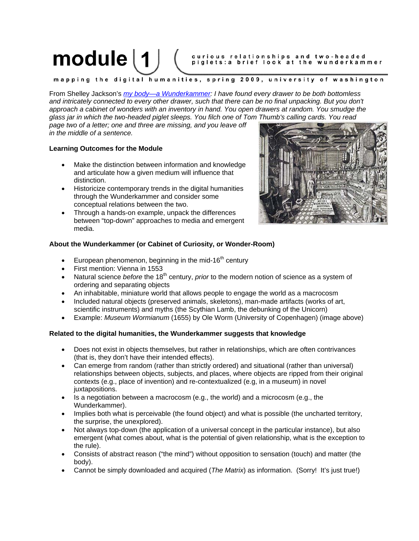## $module \, | \, 1$

curious relationships and two-headed<br>piglets:a brief look at the wunderkammer

mapping the digital humanities, spring 2009, university of washington

From Shelley Jackson's *[my body—a Wunderkammer:](http://collection.eliterature.org/1/works/jackson__my_body_a_wunderkammer.html) I have found every drawer to be both bottomless and intricately connected to every other drawer, such that there can be no final unpacking. But you don't approach a cabinet of wonders with an inventory in hand. You open drawers at random. You smudge the glass jar in which the two-headed piglet sleeps. You filch one of Tom Thumb's calling cards. You read* 

*page two of a letter; one and three are missing, and you leave off in the middle of a sentence.* 

#### **Learning Outcomes for the Module**

- Make the distinction between information and knowledge and articulate how a given medium will influence that distinction.
- Historicize contemporary trends in the digital humanities through the Wunderkammer and consider some conceptual relations between the two.
- Through a hands-on example, unpack the differences between "top-down" approaches to media and emergent media.



#### **About the Wunderkammer (or Cabinet of Curiosity, or Wonder-Room)**

- European phenomenon, beginning in the mid-16<sup>th</sup> century
- First mention: Vienna in 1553
- Natural science *before* the 18<sup>th</sup> century, *prior* to the modern notion of science as a system of ordering and separating objects
- An inhabitable, miniature world that allows people to engage the world as a macrocosm
- Included natural objects (preserved animals, skeletons), man-made artifacts (works of art, scientific instruments) and myths (the Scythian Lamb, the debunking of the Unicorn)
- Example: *Museum Wormianum* (1655) by Ole Worm (University of Copenhagen) (image above)

#### **Related to the digital humanities, the Wunderkammer suggests that knowledge**

- Does not exist in objects themselves, but rather in relationships, which are often contrivances (that is, they don't have their intended effects).
- Can emerge from random (rather than strictly ordered) and situational (rather than universal) relationships between objects, subjects, and places, where objects are ripped from their original contexts (e.g., place of invention) and re-contextualized (e.g, in a museum) in novel juxtapositions.
- Is a negotiation between a macrocosm (e.g., the world) and a microcosm (e.g., the Wunderkammer).
- Implies both what is perceivable (the found object) and what is possible (the uncharted territory, the surprise, the unexplored).
- Not always top-down (the application of a universal concept in the particular instance), but also emergent (what comes about, what is the potential of given relationship, what is the exception to the rule).
- Consists of abstract reason ("the mind") without opposition to sensation (touch) and matter (the body).
- Cannot be simply downloaded and acquired (*The Matrix*) as information. (Sorry! It's just true!)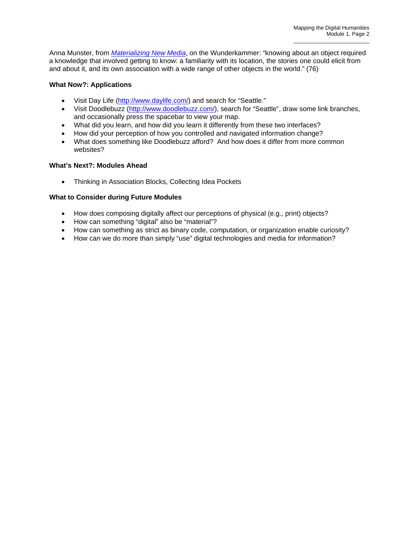Anna Munster, from *[Materializing New Media](http://books.google.com/books?id=wRfK324cR-0C&dq=materializing+new+media)*, on the Wunderkammer: "knowing about an object required a knowledge that involved getting to know: a familiarity with its location, the stories one could elicit from and about it, and its own association with a wide range of other objects in the world." (76)

#### **What Now?: Applications**

- Visit Day Life (http://www.daylife.com/) and search for "Seattle."
- Visit Doodlebuzz (http://www.doodlebuzz.com/), search for "Seattle", draw some link branches, and occasionally press the spacebar to view your map.
- What did you learn, and how did you learn it differently from these two interfaces?
- How did your perception of how you controlled and navigated information change?
- What does something like Doodlebuzz afford? And how does it differ from more common websites?

#### **What's Next?: Modules Ahead**

• Thinking in Association Blocks, Collecting Idea Pockets

### **What to Consider during Future Modules**

- How does composing digitally affect our perceptions of physical (e.g., print) objects?
- How can something "digital" also be "material"?
- How can something as strict as binary code, computation, or organization enable curiosity?
- How can we do more than simply "use" digital technologies and media for information?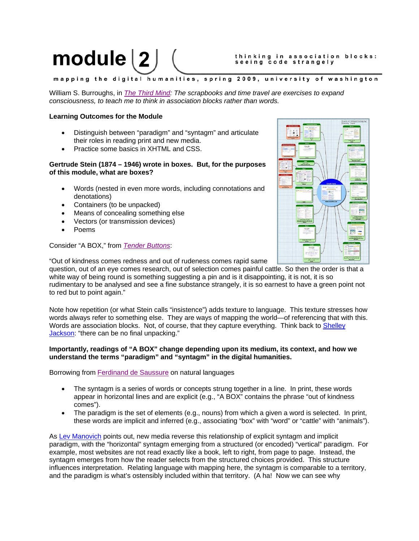## module  $|2|$

mapping the digital humanities, spring 2009, university of washington

William S. Burroughs, in *[The Third Mind:](http://books.google.com/books?id=HYMFAQAAIAAJ&q=the+third+mind&pgis=1) The scrapbooks and time travel are exercises to expand consciousness, to teach me to think in association blocks rather than words.* 

#### **Learning Outcomes for the Module**

- Distinguish between "paradigm" and "syntagm" and articulate their roles in reading print and new media.
- Practice some basics in XHTML and CSS.

#### **Gertrude Stein (1874 – 1946) wrote in boxes. But, for the purposes of this module, what are boxes?**

- Words (nested in even more words, including connotations and denotations)
- Containers (to be unpacked)
- Means of concealing something else
- Vectors (or transmission devices)
- Poems

#### Consider "A BOX," from *[Tender Buttons](http://www.bartleby.com/140/)*:

"Out of kindness comes redness and out of rudeness comes rapid same



question, out of an eye comes research, out of selection comes painful cattle. So then the order is that a white way of being round is something suggesting a pin and is it disappointing, it is not, it is so rudimentary to be analysed and see a fine substance strangely, it is so earnest to have a green point not to red but to point again."

Note how repetition (or what Stein calls "insistence") adds texture to language. This texture stresses how words always refer to something else. They are ways of mapping the world—of referencing that with this. Words are association blocks. Not, of course, that they capture everything. Think back to [Shelley](http://mappingthedigitalhumanities.org/wp-content/uploads/2009/01/module-1.pdf)  [Jackson:](http://mappingthedigitalhumanities.org/wp-content/uploads/2009/01/module-1.pdf) "there can be no final unpacking."

#### **Importantly, readings of "A BOX" change depending upon its medium, its context, and how we understand the terms "paradigm" and "syntagm" in the digital humanities.**

Borrowing fro[m Ferdinand de Saussure](http://books.google.com/books?id=B0eB8mvov6wC&dq=saussure&source=gbs_summary_s&cad=0) on natural languages

- The syntagm is a series of words or concepts strung together in a line. In print, these words appear in horizontal lines and are explicit (e.g., "A BOX" contains the phrase "out of kindness comes").
- The paradigm is the set of elements (e.g., nouns) from which a given a word is selected. In print, these words are implicit and inferred (e.g., associating "box" with "word" or "cattle" with "animals").

As [Lev Manovich](http://books.google.com/books?id=7m1GhPKuN3cC&printsec=frontcover&dq=language+of+new+media&source=gbs_summary_r&cad=0#PPT233,M1) points out, new media reverse this relationship of explicit syntagm and implicit paradigm, with the "horizontal" syntagm emerging from a structured (or encoded) "vertical" paradigm. For example, most websites are not read exactly like a book, left to right, from page to page. Instead, the syntagm emerges from how the reader selects from the structured choices provided. This structure influences interpretation. Relating language with mapping here, the syntagm is comparable to a territory, and the paradigm is what's ostensibly included within that territory. (A ha! Now we can see why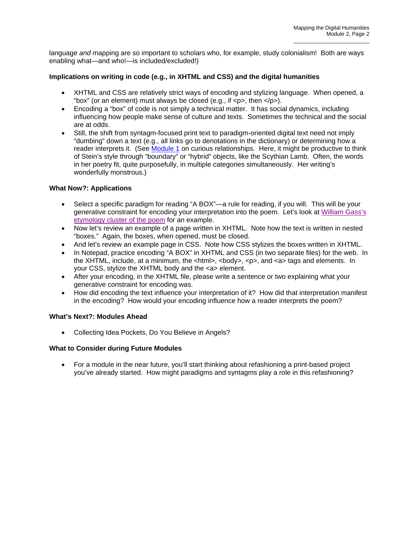language *and* mapping are so important to scholars who, for example, study colonialism! Both are ways enabling what—and who!—is included/excluded!)

#### **Implications on writing in code (e.g., in XHTML and CSS) and the digital humanities**

- XHTML and CSS are relatively strict ways of encoding and stylizing language. When opened, a "box" (or an element) must always be closed (e.g., if  $\langle p \rangle$ , then  $\langle p \rangle$ ).
- Encoding a "box" of code is not simply a technical matter. It has social dynamics, including influencing how people make sense of culture and texts. Sometimes the technical and the social are at odds.
- Still, the shift from syntagm-focused print text to paradigm-oriented digital text need not imply "dumbing" down a text (e.g., all links go to denotations in the dictionary) or determining how a reader interprets it. (See [Module 1](http://mappingthedigitalhumanities.org/wp-content/uploads/2009/01/module-1.pdf) on curious relationships. Here, it might be productive to think of Stein's style through "boundary" or "hybrid" objects, like the Scythian Lamb. Often, the words in her poetry fit, quite purposefully, in multiple categories simultaneously. Her writing's wonderfully monstrous.)

#### **What Now?: Applications**

- Select a specific paradigm for reading "A BOX"—a rule for reading, if you will. This will be your generative constraint for encoding your interpretation into the poem. Let's look a[t William Gass's](http://books.google.com/books?id=U8qwGsiCCScC&printsec=frontcover&dq=word+world+gass&client=firefox-a#PPA94,M1)  [etymology cluster of the poem f](http://books.google.com/books?id=U8qwGsiCCScC&printsec=frontcover&dq=word+world+gass&client=firefox-a#PPA94,M1)or an example.
- Now let's review an example of a page written in XHTML. Note how the text is written in nested "boxes." Again, the boxes, when opened, must be closed.
- And let's review an example page in CSS. Note how CSS stylizes the boxes written in XHTML.
- In Notepad, practice encoding "A BOX" in XHTML and CSS (in two separate files) for the web. In the XHTML, include, at a minimum, the <html>, <body>, <p>, and <a> tags and elements. In your CSS, stylize the XHTML body and the <a> element.
- After your encoding, in the XHTML file, please write a sentence or two explaining what your generative constraint for encoding was.
- How did encoding the text influence your interpretation of it? How did that interpretation manifest in the encoding? How would your encoding influence how a reader interprets the poem?

#### **What's Next?: Modules Ahead**

• Collecting Idea Pockets, Do You Believe in Angels?

#### **What to Consider during Future Modules**

• For a module in the near future, you'll start thinking about refashioning a print-based project you've already started. How might paradigms and syntagms play a role in this refashioning?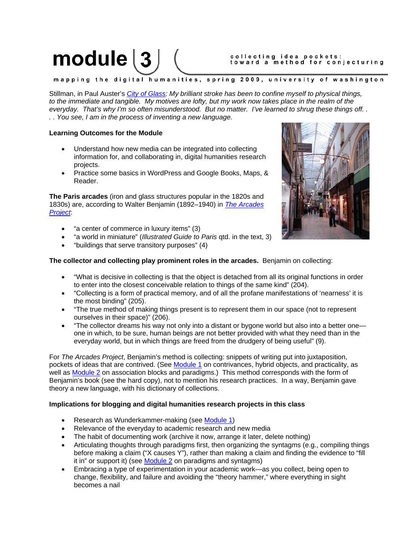### module  $3$

collecting idea pockets:<br>toward a method for conjecturing

mapping the digital humanities, spring 2009, university of washington

Stillman, in Paul Auster's *[City of Glass:](http://books.google.com/books?id=8WVIigYB8HQC&dq=city+of+glass&source=gbs_summary_s&cad=0) My brilliant stroke has been to confine myself to physical things, to the immediate and tangible. My motives are lofty, but my work now takes place in the realm of the everyday. That's why I'm so often misunderstood. But no matter. I've learned to shrug these things off. . . . You see, I am in the process of inventing a new language.* 

#### **Learning Outcomes for the Module**

- Understand how new media can be integrated into collecting information for, and collaborating in, digital humanities research projects.
- Practice some basics in WordPress and Google Books, Maps, & Reader.

**The Paris arcades** (iron and glass structures popular in the 1820s and 1830s) are, according to Walter Benjamin (1892–1940) in *[The Arcades](http://books.google.com/books?id=sKkoT9QyjD4C&q=arcades+project&dq=arcades+project&ei=T4-kSb6DH5-OkASU-9WNAg&pgis=1)  [Project](http://books.google.com/books?id=sKkoT9QyjD4C&q=arcades+project&dq=arcades+project&ei=T4-kSb6DH5-OkASU-9WNAg&pgis=1)*:

- "a center of commerce in luxury items" (3)
- "a world in miniature" (*Illustrated Guide to Paris* qtd. in the text, 3)
- "buildings that serve transitory purposes" (4)

#### **The collector and collecting play prominent roles in the arcades.** Benjamin on collecting:

- "What is decisive in collecting is that the object is detached from all its original functions in order to enter into the closest conceivable relation to things of the same kind" (204).
- "Collecting is a form of practical memory, and of all the profane manifestations of 'nearness' it is the most binding" (205).
- "The true method of making things present is to represent them in our space (not to represent ourselves in their space)" (206).
- "The collector dreams his way not only into a distant or bygone world but also into a better one one in which, to be sure, human beings are not better provided with what they need than in the everyday world, but in which things are freed from the drudgery of being useful" (9).

For *The Arcades Project*, Benjamin's method is collecting: snippets of writing put into juxtaposition, pockets of ideas that are contrived. (Se[e Module 1](http://mappingthedigitalhumanities.org/wp-content/uploads/2009/01/module-1.pdf) on contrivances, hybrid objects, and practicality, as well a[s Module 2](http://mappingthedigitalhumanities.org/wp-content/uploads/2009/01/module-2.pdf) on association blocks and paradigms.) This method corresponds with the form of Benjamin's book (see the hard copy), not to mention his research practices. In a way, Benjamin gave theory a new language, with his dictionary of collections.

#### **Implications for blogging and digital humanities research projects in this class**

- Research as Wunderkammer-making (se[e Module 1\)](http://mappingthedigitalhumanities.org/wp-content/uploads/2009/01/module-1.pdf)
- Relevance of the everyday to academic research and new media
- The habit of documenting work (archive it now, arrange it later, delete nothing)
- Articulating thoughts through paradigms first, then organizing the syntagms (e.g., compiling things before making a claim ("X causes Y"), rather than making a claim and finding the evidence to "fill it in" or support it) (see **Module 2** on paradigms and syntagms)
- Embracing a type of experimentation in your academic work—as you collect, being open to change, flexibility, and failure and avoiding the "theory hammer," where everything in sight becomes a nail

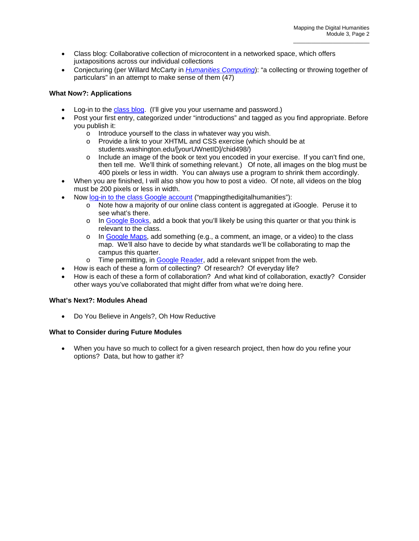- Class blog: Collaborative collection of microcontent in a networked space, which offers juxtapositions across our individual collections
- Conjecturing (per Willard McCarty in *[Humanities Computing](http://books.google.com/books?id=o_sHHQAACAAJ&dq=humanities+computing&ei=G52kSZbhApPOkAS21byrBg)*): "a collecting or throwing together of particulars" in an attempt to make sense of them (47)

### **What Now?: Applications**

- Log-in to the [class blog.](http://mappingthedigitalhumanities.org/) (I'll give you your username and password.)
- Post your first entry, categorized under "introductions" and tagged as you find appropriate. Before you publish it:
	- o Introduce yourself to the class in whatever way you wish.
	- o Provide a link to your XHTML and CSS exercise (which should be at students.washington.edu/[yourUWnetID]/chid498/)
	- o Include an image of the book or text you encoded in your exercise. If you can't find one, then tell me. We'll think of something relevant.) Of note, all images on the blog must be 400 pixels or less in width. You can always use a program to shrink them accordingly.
- When you are finished, I will also show you how to post a video. Of note, all videos on the blog must be 200 pixels or less in width.
- No[w log-in to the class Google account \(](http://www.google.com/ig)"mappingthedigitalhumanities"):
	- o Note how a majority of our online class content is aggregated at iGoogle. Peruse it to see what's there.
	- o In [Google Books,](http://books.google.com/books?hl=en) add a book that you'll likely be using this quarter or that you think is relevant to the class.
	- o In [Google Maps,](http://maps.google.com/maps) add something (e.g., a comment, an image, or a video) to the class map. We'll also have to decide by what standards we'll be collaborating to map the campus this quarter.
	- o Time permitting, in [Google Reader,](http://maps.google.com/reader) add a relevant snippet from the web.
- How is each of these a form of collecting? Of research? Of everyday life?
- How is each of these a form of collaboration? And what kind of collaboration, exactly? Consider other ways you've collaborated that might differ from what we're doing here.

#### **What's Next?: Modules Ahead**

• Do You Believe in Angels?, Oh How Reductive

#### **What to Consider during Future Modules**

• When you have so much to collect for a given research project, then how do you refine your options? Data, but how to gather it?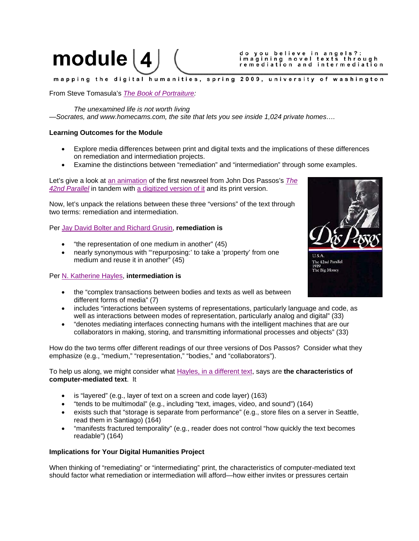# module  $|4$

mapping the digital humanities, spring 2009, university of washington

From Steve Tomasula's *[The Book of Portraiture:](http://books.google.com/books?id=9ftlAAAAMAAJ&q=book+of+portraiture&dq=book+of+portraiture&ei=gbikSYzqPIfEkASW04FD&pgis=1)* 

*The unexamined life is not worth living —Socrates, and www.homecams.com, the site that lets you see inside 1,024 private homes….* 

#### **Learning Outcomes for the Module**

- Explore media differences between print and digital texts and the implications of these differences on remediation and intermediation projects.
- Examine the distinctions between "remediation" and "intermediation" through some examples.

Let's give a look at [an animation](http://www.youtube.com/watch?v=TItBHwKORm8) of the first newsreel from John Dos Passos's *[The](http://books.google.com/books?id=TFlVe4ySsKQC&pg=PP1&dq=dos+passos+42nd+parallel&ei=IcGkSc6eOJTUlQS5ye23CA#PPA1,M1)  [42nd Parallel](http://books.google.com/books?id=TFlVe4ySsKQC&pg=PP1&dq=dos+passos+42nd+parallel&ei=IcGkSc6eOJTUlQS5ye23CA#PPA1,M1)* in tandem with [a digitized version of it](http://books.google.com/books?id=TFlVe4ySsKQC&pg=PP1&dq=dos+passos+42nd+parallel&ei=IcGkSc6eOJTUlQS5ye23CA#PPA1,M1) and its print version.

Now, let's unpack the relations between these three "versions" of the text through two terms: remediation and intermediation.

### Per [Jay David Bolter and Richard Grusin,](http://books.google.com/books?id=NHwwHwAACAAJ&dq=remediation&ei=g8KkSbOlJ43qkQSM0v2fCw) **remediation is**

- "the representation of one medium in another" (45)
- nearly synonymous with "'repurposing:' to take a 'property' from one medium and reuse it in another" (45)

#### Pe[r N. Katherine Hayles,](http://books.google.com/books?id=lwaRyOZfBzgC&dq=my+mother+was+a+computer&source=gbs_summary_s&cad=0) **intermediation is**

- the "complex transactions between bodies and texts as well as between different forms of media" (7)
- includes "interactions between systems of representations, particularly language and code, as well as interactions between modes of representation, particularly analog and digital" (33)
- "denotes mediating interfaces connecting humans with the intelligent machines that are our collaborators in making, storing, and transmitting informational processes and objects" (33)

How do the two terms offer different readings of our three versions of Dos Passos? Consider what they emphasize (e.g., "medium," "representation," "bodies," and "collaborators").

#### To help us along, we might consider what [Hayles, in a different text,](http://books.google.com/books?id=5gtoAAAAMAAJ&q=hayles+electronic+literature&dq=hayles+electronic+literature&ei=AcqkSeXaMYa4kwS-y72NAg&pgis=1) says are **the characteristics of computer-mediated text**. It

- is "layered" (e.g., layer of text on a screen and code layer) (163)
- "tends to be multimodal" (e.g., including "text, images, video, and sound") (164)
- exists such that "storage is separate from performance" (e.g., store files on a server in Seattle, read them in Santiago) (164)
- "manifests fractured temporality" (e.g., reader does not control "how quickly the text becomes readable") (164)

#### **Implications for Your Digital Humanities Project**

When thinking of "remediating" or "intermediating" print, the characteristics of computer-mediated text should factor what remediation or intermediation will afford—how either invites or pressures certain

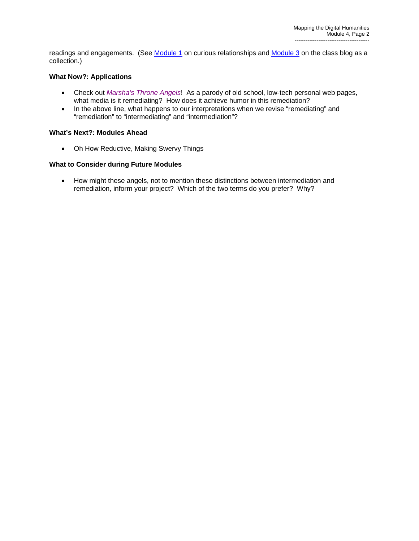readings and engagements. (See [Module 1](http://mappingthedigitalhumanities.org/wp-content/uploads/2009/01/module-1.pdf) on curious relationships and [Module 3](http://mappingthedigitalhumanities.org/wp-content/uploads/2009/01/module-3.pdf) on the class blog as a collection.)

#### **What Now?: Applications**

- Check out *[Marsha's Throne Angels](http://collection.eliterature.org/1/works/wittig__the_fall_of_the_site_of_marsha/Spring/index.html)*! As a parody of old school, low-tech personal web pages, what media is it remediating? How does it achieve humor in this remediation?
- In the above line, what happens to our interpretations when we revise "remediating" and "remediation" to "intermediating" and "intermediation"?

#### **What's Next?: Modules Ahead**

• Oh How Reductive, Making Swervy Things

#### **What to Consider during Future Modules**

• How might these angels, not to mention these distinctions between intermediation and remediation, inform your project? Which of the two terms do you prefer? Why?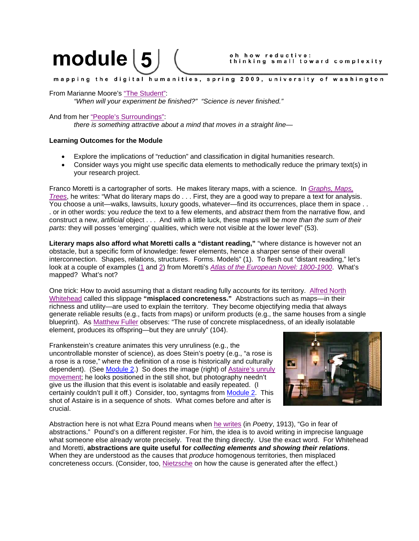## module  $|5|$

oh how reductive: thinking small toward complexity

mapping the digital humanities, spring 2009, university of washington

From Marianne Moore's ["The Student"](http://books.google.com/books?id=Bvdm-SmgMHcC&printsec=frontcover&dq=Marianne+Moore&ei=Md6lSdS_JpDUlQSB9YiKDg&client=firefox-a#PPA101,M1):

*"When will your experiment be finished?" "Science is never finished."* 

And from her ["People's Surroundings":](http://books.google.com/books?id=Bvdm-SmgMHcC&printsec=frontcover&dq=Marianne+Moore&ei=Md6lSdS_JpDUlQSB9YiKDg&client=firefox-a#PPA55,M1)

*there is something attractive about a mind that moves in a straight line—* 

#### **Learning Outcomes for the Module**

- Explore the implications of "reduction" and classification in digital humanities research.
- Consider ways you might use specific data elements to methodically reduce the primary text(s) in your research project.

Franco Moretti is a cartographer of sorts. He makes literary maps, with a science. In *[Graphs, Maps,](http://books.google.com/books?id=YL2kvMIF8hEC&dq=graphs+maps+trees&printsec=frontcover&source=bn&hl=en&ei=5-GlSffDB4jTnQfBud2pBQ&sa=X&oi=book_result&resnum=4&ct=result#PPA53,M1) [Trees](http://books.google.com/books?id=YL2kvMIF8hEC&dq=graphs+maps+trees&printsec=frontcover&source=bn&hl=en&ei=5-GlSffDB4jTnQfBud2pBQ&sa=X&oi=book_result&resnum=4&ct=result#PPA53,M1)*, he writes: "What do literary maps do . . . First, they are a good way to prepare a text for analysis. You choose a unit—walks, lawsuits, luxury goods, whatever—find its occurrences, place them in space . . . or in other words: you *reduce* the text to a few elements, and *abstract* them from the narrative flow, and construct a new, *artificial* object . . . And with a little luck, these maps will be *more than the sum of their parts*: they will posses 'emerging' qualities, which were not visible at the lower level" (53).

**Literary maps also afford what Moretti calls a "distant reading,"** "where distance is however not an obstacle, but a specific form of knowledge: fewer elements, hence a sharper sense of their overall interconnection. Shapes, relations, structures. Forms. Models" (1). To flesh out "distant reading," let's look at a couple of examples [\(1](http://books.google.com/books?id=ja2MUXS_YQUC&printsec=frontcover&dq=atlas+of+the+european+novel&ei=PuWlSZOaO4nwkQSAhIWKDg#PPA12,M1) an[d 2\)](http://books.google.com/books?id=ja2MUXS_YQUC&printsec=frontcover&dq=atlas+of+the+european+novel&ei=PuWlSZOaO4nwkQSAhIWKDg#PPA50,M1) from Moretti's *[Atlas of the European Novel: 1800-1900](http://books.google.com/books?id=ja2MUXS_YQUC&dq=atlas+of+the+european+novel&source=gbs_summary_s&cad=0)*. What's mapped? What's not?

One trick: How to avoid assuming that a distant reading fully accounts for its territory. [Alfred North](http://books.google.com/books?id=ojs-nAgV170C&q=science+and+the+mordern+world&dq=science+and+the+mordern+world&ei=3eqlSeKmJomulQSw9fSJDg&pgis=1)  [Whitehead](http://books.google.com/books?id=ojs-nAgV170C&q=science+and+the+mordern+world&dq=science+and+the+mordern+world&ei=3eqlSeKmJomulQSw9fSJDg&pgis=1) called this slippage **"misplaced concreteness."** Abstractions such as maps—in their richness and utility—are used to explain the territory. They become objectifying media that always generate reliable results (e.g., facts from maps) or uniform products (e.g., the same houses from a single blueprint). A[s Matthew Fuller](http://books.google.com/books?id=1FLIHNPucroC&dq=media+ecologies&client=firefox-a&source=gbs_summary_s&cad=0) observes: "The ruse of concrete misplacedness, of an ideally isolatable element, produces its offspring—but they are unruly" (104).

Frankenstein's creature animates this very unruliness (e.g., the uncontrollable monster of science), as does Stein's poetry (e.g., "a rose is a rose is a rose," where the definition of a rose is historically and culturally dependent). (Se[e Module 2.](http://mappingthedigitalhumanities.org/wp-content/uploads/2009/01/module-2.pdf)) So does the image (right) of Astaire's unruly [movement;](http://en.wikipedia.org/wiki/You%27re_All_The_World_To_Me) he looks positioned in the still shot, but photography needn't give us the illusion that this event is isolatable and easily repeated. (I certainly couldn't pull it off.) Consider, too, syntagms fro[m Module 2.](http://mappingthedigitalhumanities.org/wp-content/uploads/2009/01/module-2.pdf) This shot of Astaire is in a sequence of shots. What comes before and after is crucial.



Abstraction here is not what Ezra Pound means when [he writes](http://www.english.illinois.edu/maps/poets/m_r/pound/retrospect.htm) (in *Poetry*, 1913), "Go in fear of abstractions." Pound's on a different register. For him, the idea is to avoid writing in imprecise language what someone else already wrote precisely. Treat the thing directly. Use the exact word. For Whitehead and Moretti, **abstractions are quite useful for** *collecting elements and showing their relations*. When they are understood as the causes that *produce* homogenous territories, then misplaced concreteness occurs. (Consider, too, [Nietzsche](http://books.google.com/books?id=OwGPCsLiBlwC&dq=nietzsche+causes+effects+genealogy+of+morals&printsec=frontcover&source=bn&hl=en&ei=BwumSa75FYGEsQP_-dT1Dw&sa=X&oi=book_result&resnum=4&ct=result#PPA58,M1) on how the cause is generated after the effect.)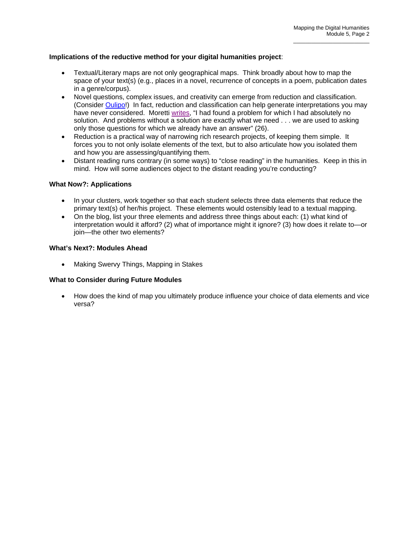#### **Implications of the reductive method for your digital humanities project**:

- Textual/Literary maps are not only geographical maps. Think broadly about how to map the space of your text(s) (e.g., places in a novel, recurrence of concepts in a poem, publication dates in a genre/corpus).
- Novel questions, complex issues, and creativity can emerge from reduction and classification. (Consider [Oulipo](http://en.wikipedia.org/wiki/Oulipo)!) In fact, reduction and classification can help generate interpretations you may have never considered. Moretti [writes](http://books.google.com/books?id=YL2kvMIF8hEC&dq=graphs+maps+trees&source=gbs_summary_s&cad=0), "I had found a problem for which I had absolutely no solution. And problems without a solution are exactly what we need . . . we are used to asking only those questions for which we already have an answer" (26).
- Reduction is a practical way of narrowing rich research projects, of keeping them simple. It forces you to not only isolate elements of the text, but to also articulate how you isolated them and how you are assessing/quantifying them.
- Distant reading runs contrary (in some ways) to "close reading" in the humanities. Keep in this in mind. How will some audiences object to the distant reading you're conducting?

#### **What Now?: Applications**

- In your clusters, work together so that each student selects three data elements that reduce the primary text(s) of her/his project. These elements would ostensibly lead to a textual mapping.
- On the blog, list your three elements and address three things about each: (1) what kind of interpretation would it afford? (2) what of importance might it ignore? (3) how does it relate to—or join—the other two elements?

#### **What's Next?: Modules Ahead**

• Making Swervy Things, Mapping in Stakes

#### **What to Consider during Future Modules**

• How does the kind of map you ultimately produce influence your choice of data elements and vice versa?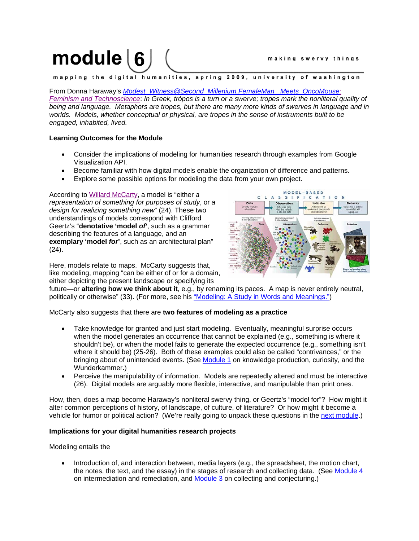### module  $6$

mapping the digital humanities, spring 2009, university of washington

From Donna Haraway's *[Modest\\_Witness@Second\\_Millenium.FemaleMan\\_ Meets\\_OncoMouse:](http://books.google.com/books?id=ftO4jLQ2RM8C&dq=haraway+modest&client=firefox-a&source=gbs_summary_s&cad=0)  [Feminism and Technoscience](http://books.google.com/books?id=ftO4jLQ2RM8C&dq=haraway+modest&client=firefox-a&source=gbs_summary_s&cad=0)*: *In Greek, trópos is a turn or a swerve; tropes mark the nonliteral quality of being and language. Metaphors are tropes, but there are many more kinds of swerves in language and in worlds. Models, whether conceptual or physical, are tropes in the sense of instruments built to be engaged, inhabited, lived.* 

#### **Learning Outcomes for the Module**

- Consider the implications of modeling for humanities research through examples from Google Visualization API.
- Become familiar with how digital models enable the organization of difference and patterns.
- Explore some possible options for modeling the data from your own project.

According to [Willard McCarty,](http://books.google.com/books?id=o_sHHQAACAAJ&dq=Humanities+Computing&ei=7SumScXVCYL8lQSd_fmJDg) a model is "either *a representation of something for purposes of study*, or *a design for realizing something new*" (24). These two understandings of models correspond with Clifford Geertz's "**denotative 'model** *of***'**, such as a grammar describing the features of a language, and an **exemplary 'model** *for***'**, such as an architectural plan" (24).

Here, models relate to maps. McCarty suggests that, like modeling, mapping "can be either of or for a domain, either depicting the present landscape or specifying its



future—or **altering how we think about it**, e.g., by renaming its paces. A map is never entirely neutral, politically or otherwise" (33). (For more, see his ["Modeling: A Study in Words and Meanings."\)](http://www.digitalhumanities.org/companion/view?docId=blackwell/9781405103213/9781405103213.xml&chunk.id=ss1-3-7&toc.depth=1&toc.id=ss1-3-7&brand=9781405103213_brand)

McCarty also suggests that there are **two features of modeling as a practice**

- Take knowledge for granted and just start modeling. Eventually, meaningful surprise occurs when the model generates an occurrence that cannot be explained (e.g., something is where it shouldn't be), or when the model fails to generate the expected occurrence (e.g., something isn't where it should be) (25-26). Both of these examples could also be called "contrivances," or the bringing about of unintended events. (See [Module 1](http://mappingthedigitalhumanities.org/wp-content/uploads/2009/01/module-1.pdf) on knowledge production, curiosity, and the Wunderkammer.)
- Perceive the manipulability of information. Models are repeatedly altered and must be interactive (26). Digital models are arguably more flexible, interactive, and manipulable than print ones.

How, then, does a map become Haraway's nonliteral swervy thing, or Geertz's "model for"? How might it alter common perceptions of history, of landscape, of culture, of literature? Or how might it become a vehicle for humor or political action? (We're really going to unpack these questions in the [next module.](http://mappingthedigitalhumanities.org/wp-content/uploads/2009/01/module-7.pdf))

#### **Implications for your digital humanities research projects**

Modeling entails the

• Introduction of, and interaction between, media layers (e.g., the spreadsheet, the motion chart, the notes, the text, and the essay) in the stages of research and collecting data. (See [Module 4](http://mappingthedigitalhumanities.org/wp-content/uploads/2009/01/module-4.pdf) on intermediation and remediation, and [Module 3](http://mappingthedigitalhumanities.org/wp-content/uploads/2009/01/module-3.pdf) on collecting and conjecturing.)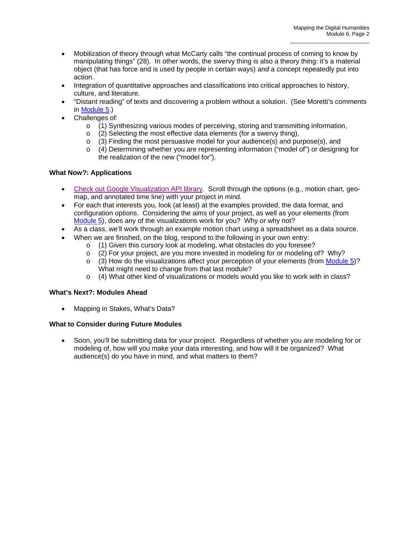- Mobilization of theory through what McCarty calls "the continual process of coming to know by manipulating things" (28). In other words, the swervy thing is also a theory thing: it's a material object (that has force and is used by people in certain ways) *and* a concept repeatedly put into action.
- Integration of quantitative approaches and classifications into critical approaches to history, culture, and literature.
- "Distant reading" of texts and discovering a problem without a solution. (See Moretti's comments in [Module 5.](http://mappingthedigitalhumanities.org/wp-content/uploads/2009/01/module-5.pdf))
- Challenges of:
	- $\circ$  (1) Synthesizing various modes of perceiving, storing and transmitting information,
	- o (2) Selecting the most effective data elements (for a swervy thing),
	- $\circ$  (3) Finding the most persuasive model for your audience(s) and purpose(s), and
	- $\circ$  (4) Determining whether you are representing information ("model of") or designing for the realization of the new ("model for").

#### **What Now?: Applications**

- [Check out Google Visualization API library.](http://code.google.com/apis/visualization/documentation/gallery.html) Scroll through the options (e.g., motion chart, geomap, and annotated time line) with your project in mind.
- For each that interests you, look (at least) at the examples provided, the data format, and configuration options. Considering the aims of your project, as well as your elements (from [Module 5\)](http://mappingthedigitalhumanities.org/wp-content/uploads/2009/01/module-5.pdf), does any of the visualizations work for you? Why or why not?
- As a class, we'll work through an example motion chart using a spreadsheet as a data source.
	- When we are finished, on the blog, respond to the following in your own entry:
		- o (1) Given this cursory look at modeling, what obstacles do you foresee?
		- $\circ$  (2) For your project, are you more invested in modeling for or modeling of? Why?
		- $\circ$  (3) How do the visualizations affect your perception of your elements (from [Module 5\)](http://mappingthedigitalhumanities.org/wp-content/uploads/2009/01/module-5.pdf)? What might need to change from that last module?
		- $\circ$  (4) What other kind of visualizations or models would you like to work with in class?

#### **What's Next?: Modules Ahead**

• Mapping in Stakes, What's Data?

#### **What to Consider during Future Modules**

• Soon, you'll be submitting data for your project. Regardless of whether you are modeling for or modeling of, how will you make your data interesting, and how will it be organized? What audience(s) do you have in mind, and what matters to them?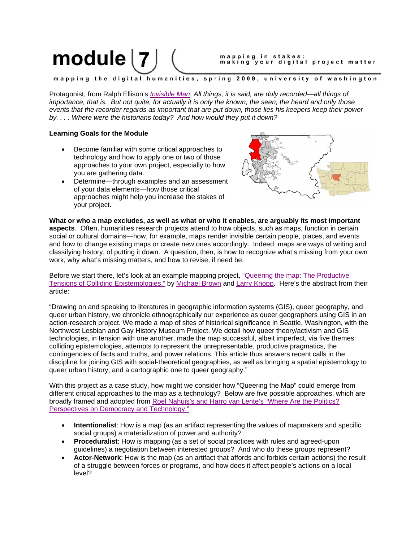### module  $|7$

mapping in stakes:<br>making your digital project matter

mapping the digital humanities, spring 2009, university of washington

Protagonist, from Ralph Ellison's *[Invisible Man](http://books.google.com/books?id=KBYUH8Qk5HIC&q=invisible+man&dq=invisible+man&ei=EHzKSfGNKJqGkATBuZWKBg&pgis=1)*: *All things, it is said, are duly recorded—all things of importance, that is. But not quite, for actually it is only the known, the seen, the heard and only those events that the recorder regards as important that are put down, those lies his keepers keep their power by. . . . Where were the historians today? And how would they put it down?* 

#### **Learning Goals for the Module**

- Become familiar with some critical approaches to technology and how to apply one or two of those approaches to your own project, especially to how you are gathering data.
- Determine—through examples and an assessment of your data elements—how those critical approaches might help you increase the stakes of your project.



**What or who a map excludes, as well as what or who it enables, are arguably its most important aspects**. Often, humanities research projects attend to how objects, such as maps, function in certain social or cultural domains—how, for example, maps render invisible certain people, places, and events and how to change existing maps or create new ones accordingly. Indeed, maps are ways of writing and classifying history, of putting it down. A question, then, is how to recognize what's missing from your own work, why what's missing matters, and how to revise, if need be.

Before we start there, let's look at an example mapping project, ["Queering the map: The Productive](http://www.informaworld.com.offcampus.lib.washington.edu/smpp/content~content=a791001958~db=all~order=page)  [Tensions of Colliding Epistemologies,"](http://www.informaworld.com.offcampus.lib.washington.edu/smpp/content~content=a791001958~db=all~order=page) by [Michael Brown](http://faculty.washington.edu/michaelb/index.html) and [Larry Knopp.](http://www.d.umn.edu/~lknopp/) Here's the abstract from their article:

"Drawing on and speaking to literatures in geographic information systems (GIS), queer geography, and queer urban history, we chronicle ethnographically our experience as queer geographers using GIS in an action-research project. We made a map of sites of historical significance in Seattle, Washington, with the Northwest Lesbian and Gay History Museum Project. We detail how queer theory/activism and GIS technologies, in tension with one another, made the map successful, albeit imperfect, via five themes: colliding epistemologies, attempts to represent the unrepresentable, productive pragmatics, the contingencies of facts and truths, and power relations. This article thus answers recent calls in the discipline for joining GIS with social-theoretical geographies, as well as bringing a spatial epistemology to queer urban history, and a cartographic one to queer geography."

With this project as a case study, how might we consider how "Queering the Map" could emerge from different critical approaches to the map as a technology? Below are five possible approaches, which are broadly framed and adopted from [Roel Nahuis's and Harro van Lente's "Where Are the Politics?](http://sth.sagepub.com.offcampus.lib.washington.edu/cgi/reprint/33/5/559)  [Perspectives on Democracy and Technology."](http://sth.sagepub.com.offcampus.lib.washington.edu/cgi/reprint/33/5/559)

- **Intentionalist**: How is a map (as an artifact representing the values of mapmakers and specific social groups) a materialization of power and authority?
- **Proceduralist**: How is mapping (as a set of social practices with rules and agreed-upon guidelines) a negotiation between interested groups? And who do these groups represent?
- **Actor-Network**: How is the map (as an artifact that affords and forbids certain actions) the result of a struggle between forces or programs, and how does it affect people's actions on a local level?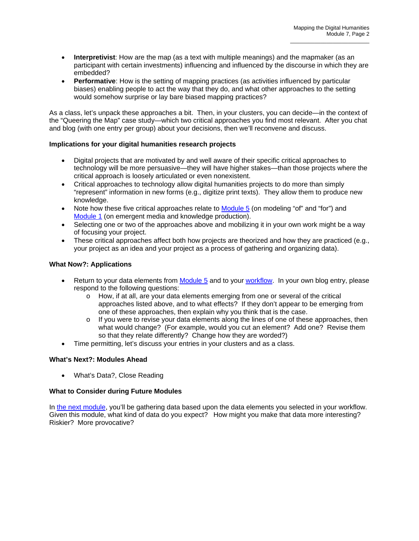- **Interpretivist**: How are the map (as a text with multiple meanings) and the mapmaker (as an participant with certain investments) influencing and influenced by the discourse in which they are embedded?
- **Performative**: How is the setting of mapping practices (as activities influenced by particular biases) enabling people to act the way that they do, and what other approaches to the setting would somehow surprise or lay bare biased mapping practices?

As a class, let's unpack these approaches a bit. Then, in your clusters, you can decide—in the context of the "Queering the Map" case study—which two critical approaches you find most relevant. After you chat and blog (with one entry per group) about your decisions, then we'll reconvene and discuss.

#### **Implications for your digital humanities research projects**

- Digital projects that are motivated by and well aware of their specific critical approaches to technology will be more persuasive—they will have higher stakes—than those projects where the critical approach is loosely articulated or even nonexistent.
- Critical approaches to technology allow digital humanities projects to do more than simply "represent" information in new forms (e.g., digitize print texts). They allow them to produce new knowledge.
- Note how these five critical approaches relate to [Module 5 \(](http://mappingthedigitalhumanities.org/wp-content/uploads/2009/01/module-5.pdf)on modeling "of" and "for") and [Module 1](http://mappingthedigitalhumanities.org/wp-content/uploads/2009/01/module-1.pdf) (on emergent media and knowledge production).
- Selecting one or two of the approaches above and mobilizing it in your own work might be a way of focusing your project.
- These critical approaches affect both how projects are theorized and how they are practiced (e.g., your project as an idea and your project as a process of gathering and organizing data).

#### **What Now?: Applications**

- Return to your data elements fro[m Module 5](http://mappingthedigitalhumanities.org/wp-content/uploads/2009/01/module-5.pdf) and to your [workflow.](http://mappingthedigitalhumanities.org/wp-content/uploads/2009/01/assignment-3.pdf) In your own blog entry, please respond to the following questions:
	- o How, if at all, are your data elements emerging from one or several of the critical approaches listed above, and to what effects? If they don't appear to be emerging from one of these approaches, then explain why you think that is the case.
	- o If you were to revise your data elements along the lines of one of these approaches, then what would change? (For example, would you cut an element? Add one? Revise them so that they relate differently? Change how they are worded?)
- Time permitting, let's discuss your entries in your clusters and as a class.

#### **What's Next?: Modules Ahead**

• What's Data?, Close Reading

#### **What to Consider during Future Modules**

In [the next module,](http://mappingthedigitalhumanities.org/wp-content/uploads/2009/01/module-8.pdf) you'll be gathering data based upon the data elements you selected in your workflow. Given this module, what kind of data do you expect? How might you make that data more interesting? Riskier? More provocative?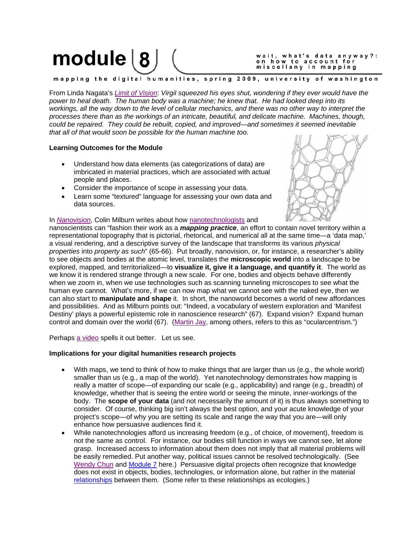module  $8$ 

mapping the digital humanities, spring 2009, university of washington

From Linda Nagata's *[Limit of Vision](http://books.google.com/books?id=W4XuL513rgkC&printsec=frontcover&dq=limit+of+vision&ei=ZrnOSePyDoqUkQShprm4AQ#PPA17,M1)*: *Virgil squeezed his eyes shut, wondering if they ever would have the power to heal death. The human body was a machine; he knew that. He had looked deep into its workings, all the way down to the level of cellular mechanics, and there was no other way to interpret the processes there than as the workings of an intricate, beautiful, and delicate machine. Machines, though, could be repaired. They could be rebuilt, copied, and improved—and sometimes it seemed inevitable that all of that would soon be possible for the human machine too.* 

#### **Learning Outcomes for the Module**

- Understand how data elements (as categorizations of data) are imbricated in material practices, which are associated with actual people and places.
- Consider the importance of scope in assessing your data.
- Learn some "textured" language for assessing your own data and data sources.

#### In *[Nanovision](http://books.google.com/books?id=46J9NQAACAAJ&dq=Nanovision&ei=D7vOSZncGIzUkwSs58mqAQ)*, Colin Milburn writes about ho[w nanotechnologists](http://www.nano.washington.edu/index.asp) and

nanoscientists can "fashion their work as a *mapping practice*, an effort to contain novel territory within a representational topography that is pictorial, rhetorical, and numerical all at the same time—a 'data map,' a visual rendering, and a descriptive survey of the landscape that transforms its various *physical properties* into *property as such*" (65-66). Put broadly, nanovision, or, for instance, a researcher's ability to see objects and bodies at the atomic level, translates the **microscopic world** into a landscape to be explored, mapped, and territorialized—to **visualize it, give it a language, and quantify it**. The world as we know it is rendered strange through a new scale. For one, bodies and objects behave differently when we zoom in, when we use technologies such as scanning tunneling microscopes to see what the human eye cannot. What's more, if we can now map what we cannot see with the naked eye, then we can also start to **manipulate and shape** it. In short, the nanoworld becomes a world of new affordances and possibilities. And as Milburn points out: "Indeed, a vocabulary of western exploration and 'Manifest Destiny' plays a powerful epistemic role in nanoscience research" (67). Expand vision? Expand human control and domain over the world (67). [\(Martin Jay,](http://books.google.com/books?id=_T-BfsiIWCoC&printsec=frontcover&dq=martin+jay+vision&ei=HMHOSeihLIXElQTjx6iiAQ#PPA8,M1) among others, refers to this as "ocularcentrism.")

Perhap[s a video](http://www.vimeo.com/3835663) spells it out better. Let us see.

#### **Implications for your digital humanities research projects**

- With maps, we tend to think of how to make things that are larger than us (e.g., the whole world) smaller than us (e.g., a map of the world). Yet nanotechnology demonstrates how mapping is really a matter of scope—of expanding our scale (e.g., applicability) and range (e.g., breadth) of knowledge, whether that is seeing the entire world or seeing the minute, inner-workings of the body. The **scope of your data** (and not necessarily the amount of it) is thus always something to consider. Of course, thinking big isn't always the best option, and your acute knowledge of your project's scope—of why you are setting its scale and range the way that you are—will only enhance how persuasive audiences find it.
- While nanotechnologies afford us increasing freedom (e.g., of choice, of movement), freedom is not the same as control. For instance, our bodies still function in ways we cannot see, let alone grasp. Increased access to information about them does not imply that all material problems will be easily remedied. Put another way, political issues cannot be resolved technologically. (See [Wendy Chun a](http://books.google.com/books?id=M-RZAAAACAAJ&dq=control+and+freedom&ei=mMbOSd2dFIjSlQTlppi5AQ)n[d Module 7 h](http://mappingthedigitalhumanities.org/wp-content/uploads/2009/01/module-7.pdf)ere.) Persuasive digital projects often recognize that knowledge does not exist in objects, bodies, technologies, or information alone, but rather in the material [relationships b](http://mappingthedigitalhumanities.org/wp-content/uploads/2009/01/module-1.pdf)etween them. (Some refer to these relationships as ecologies.)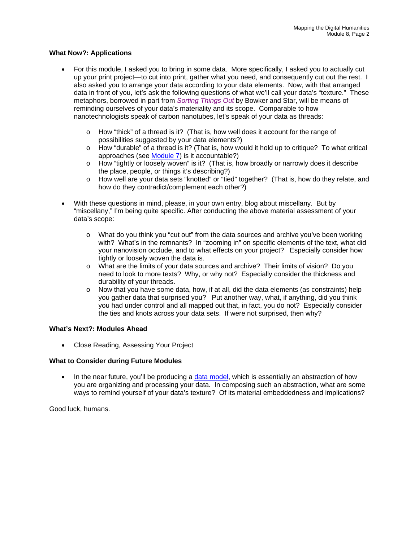#### **What Now?: Applications**

- For this module, I asked you to bring in some data. More specifically, I asked you to actually cut up your print project—to cut into print, gather what you need, and consequently cut out the rest. I also asked you to arrange your data according to your data elements. Now, with that arranged data in front of you, let's ask the following questions of what we'll call your data's "texture." These metaphors, borrowed in part from *[Sorting Things Out](http://books.google.com/books?id=xHlP8WqzizYC&dq=sorting&source=gbs_summary_s&cad=0)* by Bowker and Star, will be means of reminding ourselves of your data's materiality and its scope. Comparable to how nanotechnologists speak of carbon nanotubes, let's speak of your data as threads:
	- o How "thick" of a thread is it? (That is, how well does it account for the range of possibilities suggested by your data elements?)
	- $\circ$  How "durable" of a thread is it? (That is, how would it hold up to critique? To what critical approaches (see [Module 7\)](http://mappingthedigitalhumanities.org/wp-content/uploads/2009/01/module-7.pdf) is it accountable?)
	- o How "tightly or loosely woven" is it? (That is, how broadly or narrowly does it describe the place, people, or things it's describing?)
	- o How well are your data sets "knotted" or "tied" together? (That is, how do they relate, and how do they contradict/complement each other?)
- With these questions in mind, please, in your own entry, blog about miscellany. But by "miscellany," I'm being quite specific. After conducting the above material assessment of your data's scope:
	- o What do you think you "cut out" from the data sources and archive you've been working with? What's in the remnants? In "zooming in" on specific elements of the text, what did your nanovision occlude, and to what effects on your project? Especially consider how tightly or loosely woven the data is.
	- o What are the limits of your data sources and archive? Their limits of vision? Do you need to look to more texts? Why, or why not? Especially consider the thickness and durability of your threads.
	- o Now that you have some data, how, if at all, did the data elements (as constraints) help you gather data that surprised you? Put another way, what, if anything, did you think you had under control and all mapped out that, in fact, you do not? Especially consider the ties and knots across your data sets. If were not surprised, then why?

#### **What's Next?: Modules Ahead**

• Close Reading, Assessing Your Project

#### **What to Consider during Future Modules**

• In the near future, you'll be producing a [data model,](http://mappingthedigitalhumanities.org/wp-content/uploads/2009/01/assignment-4.pdf) which is essentially an abstraction of how you are organizing and processing your data. In composing such an abstraction, what are some ways to remind yourself of your data's texture? Of its material embeddedness and implications?

Good luck, humans.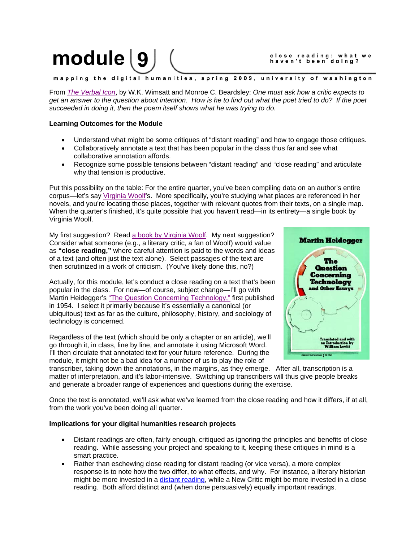### $module | 9$

mapping the digital humanities, spring 2009, university of washington

From *[The Verbal Icon](http://books.google.com/books?id=KmrUKcU2JUoC&printsec=frontcover&dq=the+verbal+icon&ei=4BrQSZe_B5-OkAT_ndS2AQ#PPA4,M1)*, by W.K. Wimsatt and Monroe C. Beardsley: *One must ask how a critic expects to get an answer to the question about intention. How is he to find out what the poet tried to do? If the poet succeeded in doing it, then the poem itself shows what he was trying to do.*

#### **Learning Outcomes for the Module**

- Understand what might be some critiques of "distant reading" and how to engage those critiques.
- Collaboratively annotate a text that has been popular in the class thus far and see what collaborative annotation affords.
- Recognize some possible tensions between "distant reading" and "close reading" and articulate why that tension is productive.

Put this possibility on the table: For the entire quarter, you've been compiling data on an author's entire corpus—let's say [Virginia Woolf'](http://en.wikipedia.org/wiki/Virginia_Woolf)s. More specifically, you're studying what places are referenced in her novels, and you're locating those places, together with relevant quotes from their texts, on a single map. When the quarter's finished, it's quite possible that you haven't read—in its entirety—a single book by Virginia Woolf.

My first suggestion? Read [a book by Virginia Woolf.](http://books.google.com/books?id=QEHI-uN0tmgC&dq=mrs.+dalloway&ei=XB3QSfPpC4zMlQT3qdCvAQ) My next suggestion? Consider what someone (e.g., a literary critic, a fan of Woolf) would value as **"close reading,"** where careful attention is paid to the words and ideas of a text (and often just the text alone). Select passages of the text are then scrutinized in a work of criticism. (You've likely done this, no?)

Actually, for this module, let's conduct a close reading on a text that's been popular in the class. For now—of course, subject change—I'll go with Martin Heidegger'[s "The Question Concerning Technology," f](http://books.google.com/books?id=kVc9AAAAIAAJ&printsec=frontcover&dq=basic+writings+heidegger&ei=BR7QSaGhMI3wkQSlsMGuAQ#PPA283,M1)irst published in 1954. I select it primarily because it's essentially a canonical (or ubiquitous) text as far as the culture, philosophy, history, and sociology of technology is concerned.

Regardless of the text (which should be only a chapter or an article), we'll go through it, in class, line by line, and annotate it using Microsoft Word. I'll then circulate that annotated text for your future reference. During the module, it might not be a bad idea for a number of us to play the role of



transcriber, taking down the annotations, in the margins, as they emerge. After all, transcription is a matter of interpretation, and it's labor-intensive. Switching up transcribers will thus give people breaks and generate a broader range of experiences and questions during the exercise.

Once the text is annotated, we'll ask what we've learned from the close reading and how it differs, if at all, from the work you've been doing all quarter.

#### **Implications for your digital humanities research projects**

- Distant readings are often, fairly enough, critiqued as ignoring the principles and benefits of close reading. While assessing your project and speaking to it, keeping these critiques in mind is a smart practice.
- Rather than eschewing close reading for distant reading (or vice versa), a more complex response is to note how the two differ, to what effects, and why. For instance, a literary historian might be more invested in a [distant reading,](http://mappingthedigitalhumanities.org/wp-content/uploads/2009/01/module-5.pdf) while a New Critic might be more invested in a close reading. Both afford distinct and (when done persuasively) equally important readings.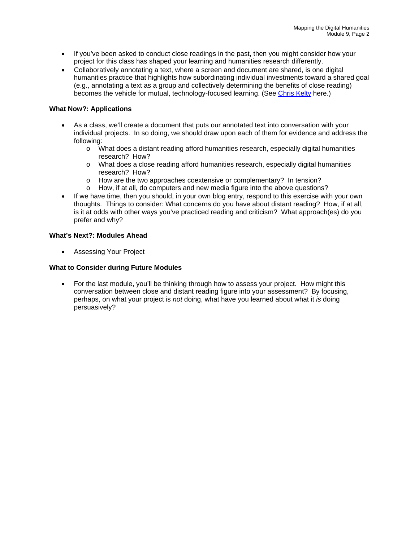- If you've been asked to conduct close readings in the past, then you might consider how your project for this class has shaped your learning and humanities research differently.
- Collaboratively annotating a text, where a screen and document are shared, is one digital humanities practice that highlights how subordinating individual investments toward a shared goal (e.g., annotating a text as a group and collectively determining the benefits of close reading) becomes the vehicle for mutual, technology-focused learning. (See [Chris Kelty](http://books.google.com/books?id=wC2stJS83rYC&pg=PP1&dq=chris+kelty&ei=5VjQSbroAZG4kwTxkYCfAQ#PPA228,M1) here.)

#### **What Now?: Applications**

- As a class, we'll create a document that puts our annotated text into conversation with your individual projects. In so doing, we should draw upon each of them for evidence and address the following:
	- o What does a distant reading afford humanities research, especially digital humanities research? How?
	- o What does a close reading afford humanities research, especially digital humanities research? How?
	- o How are the two approaches coextensive or complementary? In tension?
	- o How, if at all, do computers and new media figure into the above questions?
- If we have time, then you should, in your own blog entry, respond to this exercise with your own thoughts. Things to consider: What concerns do you have about distant reading? How, if at all, is it at odds with other ways you've practiced reading and criticism? What approach(es) do you prefer and why?

#### **What's Next?: Modules Ahead**

• Assessing Your Project

#### **What to Consider during Future Modules**

• For the last module, you'll be thinking through how to assess your project. How might this conversation between close and distant reading figure into your assessment? By focusing, perhaps, on what your project is *not* doing, what have you learned about what it *is* doing persuasively?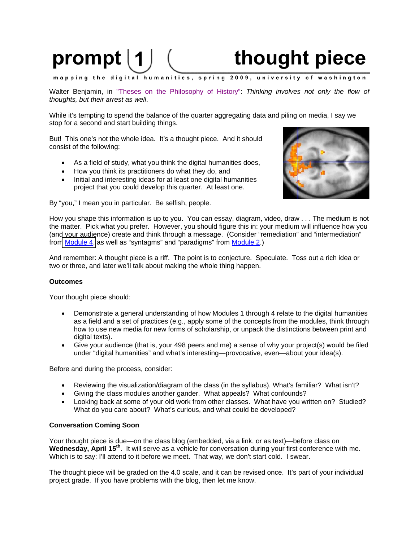### thought piece prompt

mapping the digital humanities, spring 2009, university of washington

Walter Benjamin, in ["Theses on the Philosophy of History":](http://books.google.com/books?id=AFJ7dvSdXPgC&dq=illuminations&ei=Q4e6Sd6_O5WWkATG6oiCDA&pgis=1) *Thinking involves not only the flow of thoughts, but their arrest as well*.

While it's tempting to spend the balance of the quarter aggregating data and piling on media, I say we stop for a second and start building things.

But! This one's not the whole idea. It's a thought piece. And it should consist of the following:

- As a field of study, what you think the digital humanities does,
- How you think its practitioners do what they do, and
- Initial and interesting ideas for at least one digital humanities project that you could develop this quarter. At least one.

By "you," I mean you in particular. Be selfish, people.



How you shape this information is up to you. You can essay, diagram, video, draw . . . The medium is not the matter. Pick what you prefer. However, you should figure this in: your medium will influence how you (and your audience) create and think through a message. (Consider "remediation" and "intermediation" fro[m Module 4,](http://mappingthedigitalhumanities.org/wp-content/uploads/2009/01/module-4.pdf) as well as "syntagms" and "paradigms" from [Module 2.\)](http://mappingthedigitalhumanities.org/wp-content/uploads/2009/01/module-2.pdf)

And remember: A thought piece is a riff. The point is to conjecture. Speculate. Toss out a rich idea or two or three, and later we'll talk about making the whole thing happen.

#### **Outcomes**

Your thought piece should:

- Demonstrate a general understanding of how Modules 1 through 4 relate to the digital humanities as a field and a set of practices (e.g., apply some of the concepts from the modules, think through how to use new media for new forms of scholarship, or unpack the distinctions between print and digital texts).
- Give your audience (that is, your 498 peers and me) a sense of why your project(s) would be filed under "digital humanities" and what's interesting—provocative, even—about your idea(s).

Before and during the process, consider:

- Reviewing the visualization/diagram of the class (in the syllabus). What's familiar? What isn't?
- Giving the class modules another gander. What appeals? What confounds?
- Looking back at some of your old work from other classes. What have you written on? Studied? What do you care about? What's curious, and what could be developed?

#### **Conversation Coming Soon**

Your thought piece is due—on the class blog (embedded, via a link, or as text)—before class on **Wednesday, April 15th**. It will serve as a vehicle for conversation during your first conference with me. Which is to say: I'll attend to it before we meet. That way, we don't start cold. I swear.

The thought piece will be graded on the 4.0 scale, and it can be revised once. It's part of your individual project grade. If you have problems with the blog, then let me know.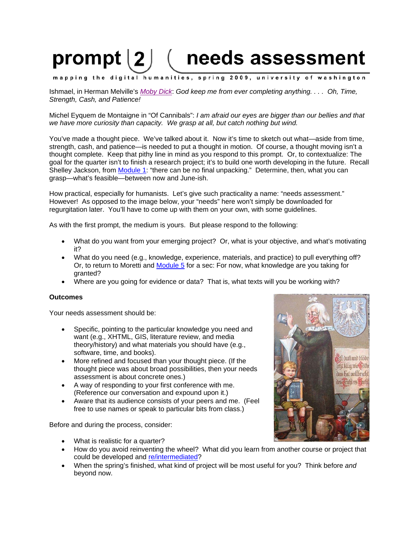## $prompt(2)$  (needs assessment

mapping the digital humanities, spring 2009, university of washington

Ishmael, in Herman Melville's *[Moby Dick](http://books.google.com/books?id=cYKYYypj8UAC&dq=moby+dick&ei=Boq6SbL7K5r6kASbl6yJCA)*: *God keep me from ever completing anything. . . . Oh, Time, Strength, Cash, and Patience!* 

Michel Eyquem de Montaigne in "Of Cannibals": *I am afraid our eyes are bigger than our bellies and that we have more curiosity than capacity. We grasp at all, but catch nothing but wind.*

You've made a thought piece. We've talked about it. Now it's time to sketch out what—aside from time, strength, cash, and patience—is needed to put a thought in motion. Of course, a thought moving isn't a thought complete. Keep that pithy line in mind as you respond to this prompt. Or, to contextualize: The goal for the quarter isn't to finish a research project; it's to build one worth developing in the future. Recall Shelley Jackson, from [Module 1:](http://mappingthedigitalhumanities.org/wp-content/uploads/2009/01/module-1.pdf) "there can be no final unpacking." Determine, then, what you can grasp—what's feasible—between now and June-ish.

How practical, especially for humanists. Let's give such practicality a name: "needs assessment." However! As opposed to the image below, your "needs" here won't simply be downloaded for regurgitation later. You'll have to come up with them on your own, with some guidelines.

As with the first prompt, the medium is yours. But please respond to the following:

- What do you want from your emerging project? Or, what is your objective, and what's motivating it?
- What do you need (e.g., knowledge, experience, materials, and practice) to pull everything off? Or, to return to Moretti and [Module 5](http://mappingthedigitalhumanities.org/wp-content/uploads/2009/01/module-5.pdf) for a sec: For now, what knowledge are you taking for granted?
- Where are you going for evidence or data? That is, what texts will you be working with?

#### **Outcomes**

Your needs assessment should be:

- Specific, pointing to the particular knowledge you need and want (e.g., XHTML, GIS, literature review, and media theory/history) and what materials you should have (e.g., software, time, and books).
- More refined and focused than your thought piece. (If the thought piece was about broad possibilities, then your needs assessment is about concrete ones.)
- A way of responding to your first conference with me. (Reference our conversation and expound upon it.)
- Aware that its audience consists of your peers and me. (Feel free to use names or speak to particular bits from class.)

Before and during the process, consider:

- What is realistic for a quarter?
- How do you avoid reinventing the wheel? What did you learn from another course or project that could be developed and [re/intermediated?](http://mappingthedigitalhumanities.org/wp-content/uploads/2009/01/module-4.pdf)
- When the spring's finished, what kind of project will be most useful for you? Think before *and*  beyond now.

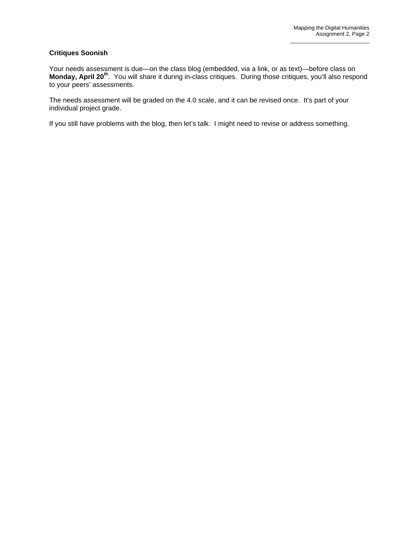#### **Critiques Soonish**

Your needs assessment is due—on the class blog (embedded, via a link, or as text)—before class on **Monday, April 20th**. You will share it during in-class critiques. During those critiques, you'll also respond to your peers' assessments.

The needs assessment will be graded on the 4.0 scale, and it can be revised once. It's part of your individual project grade.

If you still have problems with the blog, then let's talk. I might need to revise or address something.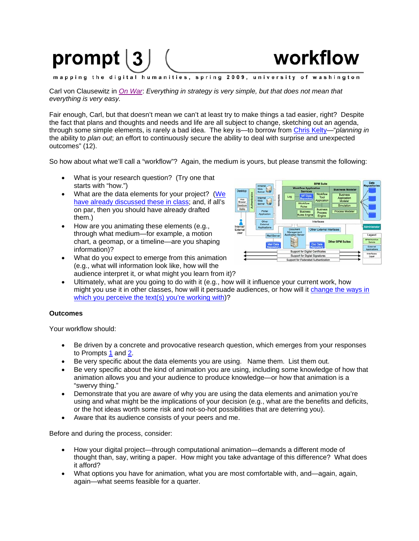### prompt  $\vert 3 \rangle$

### workflow

mapping the digital humanities, spring 2009, university of washington

Carl von Clausewitz in *[On War](http://books.google.com/books?id=fXJnOde4eYkC&printsec=frontcover&dq=on+war&ei=7ZG6SfWZLIWekwS-3LT8Cw#PPA110,M1)*: *Everything in strategy is very simple, but that does not mean that everything is very easy.* 

Fair enough, Carl, but that doesn't mean we can't at least try to make things a tad easier, right? Despite the fact that plans and thoughts and needs and life are all subject to change, sketching out an agenda, through some simple elements, is rarely a bad idea. The key is—to borrow from [Chris Kelty—](http://books.google.com/books?id=wC2stJS83rYC&printsec=frontcover&dq=kelty+free+software&ei=QoLJSdLcDI6QkASH1pCCDg#PPA12,M1)"*planning in* the ability to *plan out*; an effort to continuously secure the ability to deal with surprise and unexpected outcomes" (12).

So how about what we'll call a "workflow"? Again, the medium is yours, but please transmit the following:

- What is your research question? (Try one that starts with "how.")
- What are the data elements for your project? ([We](http://mappingthedigitalhumanities.org/wp-content/uploads/2009/01/module-5.pdf)  [have already discussed these in class;](http://mappingthedigitalhumanities.org/wp-content/uploads/2009/01/module-5.pdf) and, if all's on par, then you should have already drafted them.)
- How are you animating these elements (e.g., through what medium—for example, a motion chart, a geomap, or a timeline—are you shaping information)?
- 
- What do you expect to emerge from this animation (e.g., what will information look like, how will the audience interpret it, or what might you learn from it)?
- Ultimately, what are you going to do with it (e.g., how will it influence your current work, how might you use it in other classes, how will it persuade audiences, or how will it change the ways in [which you perceive the text\(s\) you're working with\)?](http://mappingthedigitalhumanities.org/wp-content/uploads/2009/01/module-6.pdf)

#### **Outcomes**

Your workflow should:

- Be driven by a concrete and provocative research question, which emerges from your responses to Prompts [1](http://mappingthedigitalhumanities.org/wp-content/uploads/2009/01/assignment-1.pdf) and [2.](http://mappingthedigitalhumanities.org/wp-content/uploads/2009/01/assignment-2.pdf)
- Be very specific about the data elements you are using. Name them. List them out.
- Be very specific about the kind of animation you are using, including some knowledge of how that animation allows you and your audience to produce knowledge—or how that animation is a "swervy thing."
- Demonstrate that you are aware of why you are using the data elements and animation you're using and what might be the implications of your decision (e.g., what are the benefits and deficits, or the hot ideas worth some risk and not-so-hot possibilities that are deterring you).
- Aware that its audience consists of your peers and me.

Before and during the process, consider:

- How your digital project—through computational animation—demands a different mode of thought than, say, writing a paper. How might you take advantage of this difference? What does it afford?
- What options you have for animation, what you are most comfortable with, and—again, again, again—what seems feasible for a quarter.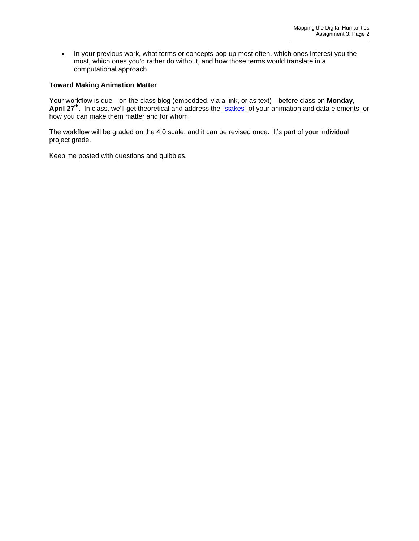• In your previous work, what terms or concepts pop up most often, which ones interest you the most, which ones you'd rather do without, and how those terms would translate in a computational approach.

#### **Toward Making Animation Matter**

Your workflow is due—on the class blog (embedded, via a link, or as text)—before class on **Monday, April 27th**. In class, we'll get theoretical and address th[e "stakes" o](http://mappingthedigitalhumanities.org/wp-content/uploads/2009/01/module-7.pdf)f your animation and data elements, or how you can make them matter and for whom.

The workflow will be graded on the 4.0 scale, and it can be revised once. It's part of your individual project grade.

Keep me posted with questions and quibbles.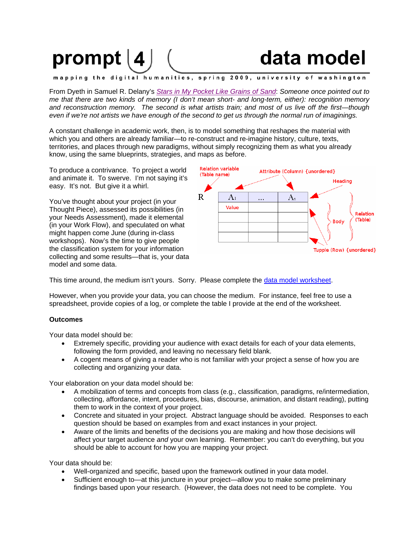prompt  $|4$ 

data model

mapping the digital humanities, spring 2009, university of washington

From Dyeth in Samuel R. Delany's *[Stars in My Pocket Like Grains of Sand](http://books.google.com/books?id=ngHQ_ZghbbYC&printsec=frontcover&dq=stars+in+my+pocket&source=gbs_summary_r&cad=0#PPA183,M1)*: *Someone once pointed out to me that there are two kinds of memory (I don't mean short- and long-term, either): recognition memory and reconstruction memory. The second is what artists train; and most of us live off the first—though even if we're not artists we have enough of the second to get us through the normal run of imaginings.*

A constant challenge in academic work, then, is to model something that reshapes the material with which you and others are already familiar—to re-construct and re-imagine history, culture, texts, territories, and places through new paradigms, without simply recognizing them as what you already know, using the same blueprints, strategies, and maps as before.

To produce a contrivance. To project a world and animate it. To swerve. I'm not saying it's easy. It's not. But give it a whirl.

You've thought about your project (in your Thought Piece), assessed its possibilities (in your Needs Assessment), made it elemental (in your Work Flow), and speculated on what might happen come June (during in-class workshops). Now's the time to give people the classification system for your information collecting and some results—that is, your data model and some data.



This time around, the medium isn't yours. Sorry. Please complete th[e data model worksheet.](http://mappingthedigitalhumanities.org/wp-content/uploads/2009/04/data-model.doc) 

However, when you provide your data, you can choose the medium. For instance, feel free to use a spreadsheet, provide copies of a log, or complete the table I provide at the end of the worksheet.

#### **Outcomes**

Your data model should be:

- Extremely specific, providing your audience with exact details for each of your data elements, following the form provided, and leaving no necessary field blank.
- A cogent means of giving a reader who is not familiar with your project a sense of how you are collecting and organizing your data.

Your elaboration on your data model should be:

- A mobilization of terms and concepts from class (e.g., classification, paradigms, re/intermediation, collecting, affordance, intent, procedures, bias, discourse, animation, and distant reading), putting them to work in the context of your project.
- Concrete and situated in your project. Abstract language should be avoided. Responses to each question should be based on examples from and exact instances in your project.
- Aware of the limits and benefits of the decisions you are making and how those decisions will affect your target audience *and* your own learning. Remember: you can't do everything, but you should be able to account for how you are mapping your project.

Your data should be:

- Well-organized and specific, based upon the framework outlined in your data model.
- Sufficient enough to—at this juncture in your project—allow you to make some preliminary findings based upon your research. (However, the data does not need to be complete. You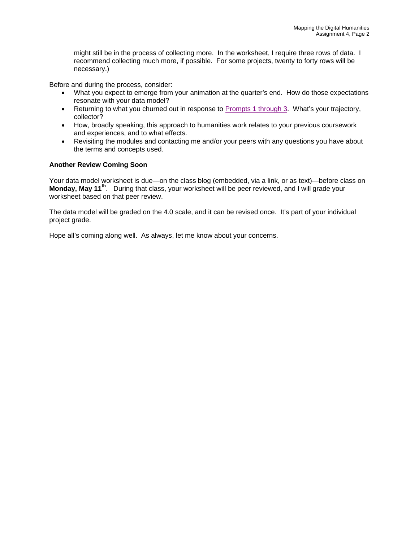might still be in the process of collecting more. In the worksheet, I require three rows of data. I recommend collecting much more, if possible. For some projects, twenty to forty rows will be necessary.)

Before and during the process, consider:

- What you expect to emerge from your animation at the quarter's end. How do those expectations resonate with your data model?
- Returning to what you churned out in response to [Prompts 1 through 3.](http://mappingthedigitalhumanities.org/?page_id=235) What's your trajectory, collector?
- How, broadly speaking, this approach to humanities work relates to your previous coursework and experiences, and to what effects.
- Revisiting the modules and contacting me and/or your peers with any questions you have about the terms and concepts used.

#### **Another Review Coming Soon**

Your data model worksheet is due—on the class blog (embedded, via a link, or as text)—before class on **Monday, May 11th**. During that class, your worksheet will be peer reviewed, and I will grade your worksheet based on that peer review.

The data model will be graded on the 4.0 scale, and it can be revised once. It's part of your individual project grade.

Hope all's coming along well. As always, let me know about your concerns.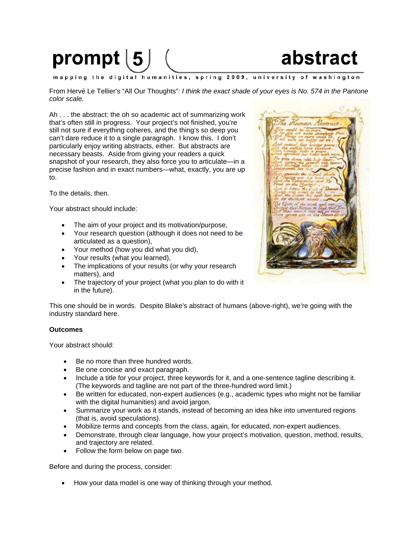### prompt  $\vert 5 \vert$

### abstract

mapping the digital humanities, spring 2009, university of washington

From Hervé Le Tellier's "All Our Thoughts": *I think the exact shade of your eyes is No. 574 in the Pantone color scale.*

Ah . . . the abstract: the oh so academic act of summarizing work that's often still in progress. Your project's not finished, you're still not sure if everything coheres, and the thing's so deep you can't dare reduce it to a single paragraph. I know this. I don't particularly enjoy writing abstracts, either. But abstracts are necessary beasts. Aside from giving your readers a quick snapshot of your research, they also force you to articulate—in a precise fashion and in exact numbers—what, exactly, you are up to.

To the details, then.

Your abstract should include:

- The aim of your project and its motivation/purpose,
- Your research question (although it does not need to be articulated as a question),
- Your method (how you did what you did),
- Your results (what you learned),
- The implications of your results (or why your research matters), and
- The trajectory of your project (what you plan to do with it in the future).



This one should be in words. Despite Blake's abstract of humans (above-right), we're going with the industry standard here.

#### **Outcomes**

Your abstract should:

- Be no more than three hundred words.
- Be one concise and exact paragraph.
- Include a title for your project, three keywords for it, and a one-sentence tagline describing it. (The keywords and tagline are not part of the three-hundred word limit.)
- Be written for educated, non-expert audiences (e.g., academic types who might not be familiar with the digital humanities) and avoid jargon.
- Summarize your work as it stands, instead of becoming an idea hike into unventured regions (that is, avoid speculations).
- Mobilize terms and concepts from the class, again, for educated, non-expert audiences.
- Demonstrate, through clear language, how your project's motivation, question, method, results, and trajectory are related.
- Follow the form below on page two.

Before and during the process, consider:

• How your data model is one way of thinking through your method.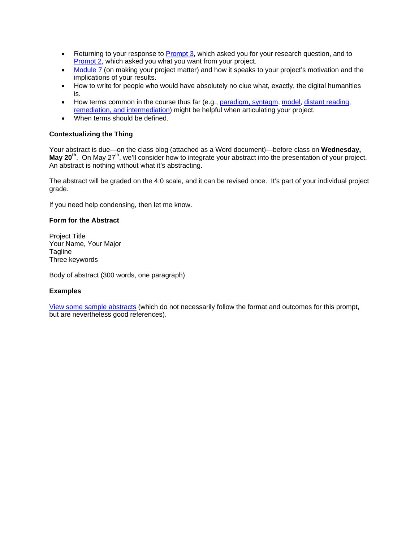- Returning to your response to [Prompt 3,](http://mappingthedigitalhumanities.org/wp-content/uploads/2009/01/assignment-3.pdf) which asked you for your research question, and to [Prompt 2,](http://mappingthedigitalhumanities.org/wp-content/uploads/2009/01/assignment-2.pdf) which asked you what you want from your project.
- [Module 7 \(](http://mappingthedigitalhumanities.org/wp-content/uploads/2009/01/module-7.pdf)on making your project matter) and how it speaks to your project's motivation and the implications of your results.
- How to write for people who would have absolutely no clue what, exactly, the digital humanities is.
- How terms common in the course thus far (e.g., paradigm, syntagm, model, distant reading, [remediation, and intermediation\)](http://mappingthedigitalhumanities.org/wp-content/uploads/2009/04/userguide.pdf) might be helpful when articulating your project.
- When terms should be defined

#### **Contextualizing the Thing**

Your abstract is due—on the class blog (attached as a Word document)—before class on **Wednesday, May 20<sup>th</sup>**. On May 27<sup>th</sup>, we'll consider how to integrate your abstract into the presentation of your project. An abstract is nothing without what it's abstracting.

The abstract will be graded on the 4.0 scale, and it can be revised once. It's part of your individual project grade.

If you need help condensing, then let me know.

#### **Form for the Abstract**

Project Title Your Name, Your Major **Tagline** Three keywords

Body of abstract (300 words, one paragraph)

#### **Examples**

[View some sample abstracts](http://www.sccur.uci.edu/sampleabstracts.html) (which do not necessarily follow the format and outcomes for this prompt, but are nevertheless good references).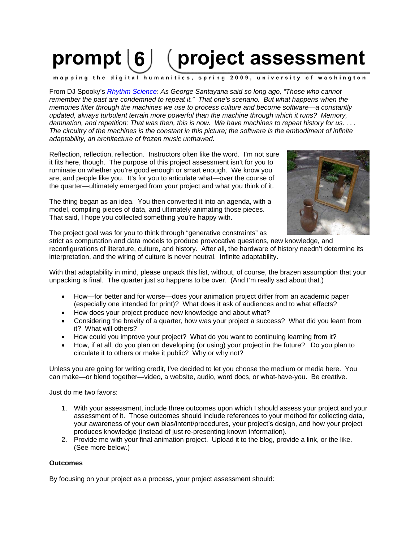## $prompt(6)$  (project assessment

mapping the digital humanities, spring 2009, university of washington

From DJ Spooky's *Rhythm Science*: *As George Santayana said so long ago, "Those who cannot remember the past are condemned to repeat it." That one's scenario. But what happens when the memories filter through the machines we use to process culture and become software—a constantly updated, always turbulent terrain more powerful than the machine through which it runs? Memory, damnation, and repetition: That was then, this is now. We have machines to repeat history for us. . . . The circuitry of the machines is the constant in this picture; the software is the embodiment of infinite adaptability, an architecture of frozen music unthawed.* 

Reflection, reflection, reflection. Instructors often like the word. I'm not sure it fits here, though. The purpose of this project assessment isn't for you to ruminate on whether you're good enough or smart enough. We know you are, and people like you. It's for you to articulate what—over the course of the quarter—ultimately emerged from your project and what you think of it.

The thing began as an idea. You then converted it into an agenda, with a model, compiling pieces of data, and ultimately animating those pieces. That said, I hope you collected something you're happy with.



The project goal was for you to think through "generative constraints" as

strict as computation and data models to produce provocative questions, new knowledge, and reconfigurations of literature, culture, and history. After all, the hardware of history needn't determine its interpretation, and the wiring of culture is never neutral. Infinite adaptability.

With that adaptability in mind, please unpack this list, without, of course, the brazen assumption that your unpacking is final. The quarter just so happens to be over. (And I'm really sad about that.)

- How—for better and for worse—does your animation project differ from an academic paper (especially one intended for print)? What does it ask of audiences and to what effects?
- How does your project produce new knowledge and about what?
- Considering the brevity of a quarter, how was your project a success? What did you learn from it? What will others?
- How could you improve your project? What do you want to continuing learning from it?
- How, if at all, do you plan on developing (or using) your project in the future? Do you plan to circulate it to others or make it public? Why or why not?

Unless you are going for writing credit, I've decided to let you choose the medium or media here. You can make—or blend together—video, a website, audio, word docs, or what-have-you. Be creative.

Just do me two favors:

- 1. With your assessment, include three outcomes upon which I should assess your project and your assessment of it. Those outcomes should include references to your method for collecting data, your awareness of your own bias/intent/procedures, your project's design, and how your project produces knowledge (instead of just re-presenting known information).
- 2. Provide me with your final animation project. Upload it to the blog, provide a link, or the like. (See more below.)

#### **Outcomes**

By focusing on your project as a process, your project assessment should: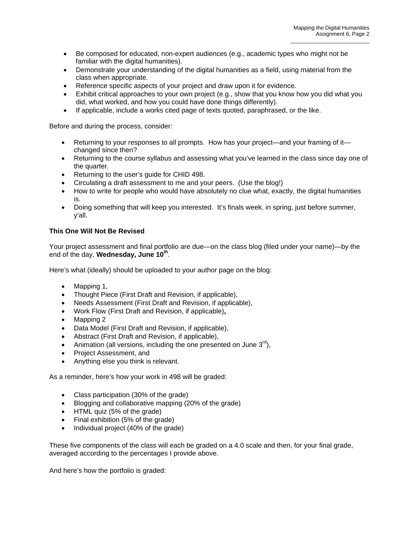- Be composed for educated, non-expert audiences (e.g., academic types who might not be familiar with the digital humanities).
- Demonstrate your understanding of the digital humanities as a field, using material from the class when appropriate.
- Reference specific aspects of your project and draw upon it for evidence.
- Exhibit critical approaches to your own project (e.g., show that you know how you did what you did, what worked, and how you could have done things differently).
- If applicable, include a works cited page of texts quoted, paraphrased, or the like.

Before and during the process, consider:

- Returning to your responses to all prompts. How has your project—and your framing of it changed since then?
- Returning to the course syllabus and assessing what you've learned in the class since day one of the quarter.
- Returning to the user's guide for CHID 498.
- Circulating a draft assessment to me and your peers. (Use the blog!)
- How to write for people who would have absolutely no clue what, exactly, the digital humanities is.
- Doing something that will keep you interested. It's finals week, in spring, just before summer, y'all.

#### **This One Will Not Be Revised**

Your project assessment and final portfolio are due—on the class blog (filed under your name)—by the end of the day, **Wednesday, June 10th**.

Here's what (ideally) should be uploaded to your author page on the blog:

- Mapping 1,
- Thought Piece (First Draft and Revision, if applicable),
- Needs Assessment (First Draft and Revision, if applicable),
- Work Flow (First Draft and Revision, if applicable)**,**
- Mapping 2
- Data Model (First Draft and Revision, if applicable),
- Abstract (First Draft and Revision, if applicable),
- Animation (all versions, including the one presented on June  $3^{\text{rd}}$ ),
- Project Assessment, and
- Anything else you think is relevant.

As a reminder, here's how your work in 498 will be graded:

- Class participation (30% of the grade)
- Blogging and collaborative mapping (20% of the grade)
- HTML quiz (5% of the grade)
- Final exhibition (5% of the grade)
- Individual project (40% of the grade)

These five components of the class will each be graded on a 4.0 scale and then, for your final grade, averaged according to the percentages I provide above.

And here's how the portfolio is graded: